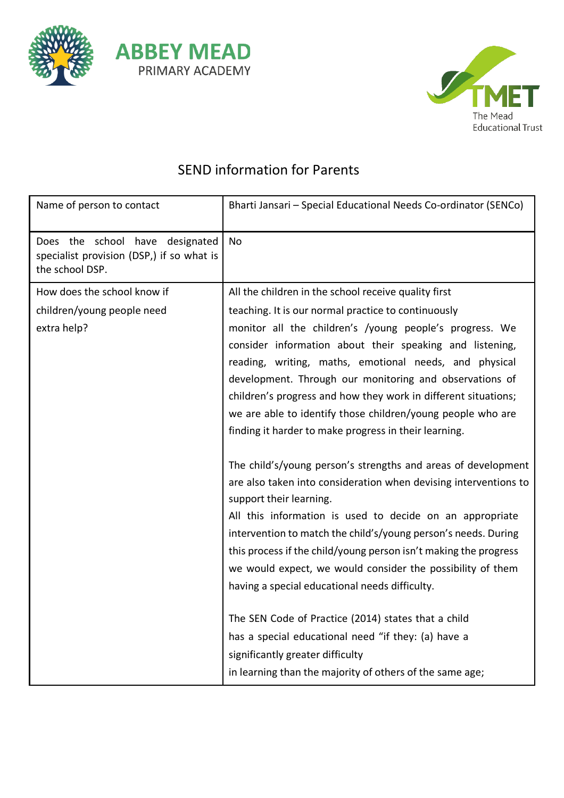



## SEND information for Parents

| Name of person to contact                                                                       | Bharti Jansari - Special Educational Needs Co-ordinator (SENCo)                                                                                                                                                                                                                                                                                                                                                                                                                |
|-------------------------------------------------------------------------------------------------|--------------------------------------------------------------------------------------------------------------------------------------------------------------------------------------------------------------------------------------------------------------------------------------------------------------------------------------------------------------------------------------------------------------------------------------------------------------------------------|
| Does the school have designated<br>specialist provision (DSP,) if so what is<br>the school DSP. | No                                                                                                                                                                                                                                                                                                                                                                                                                                                                             |
| How does the school know if                                                                     | All the children in the school receive quality first                                                                                                                                                                                                                                                                                                                                                                                                                           |
| children/young people need                                                                      | teaching. It is our normal practice to continuously                                                                                                                                                                                                                                                                                                                                                                                                                            |
| extra help?                                                                                     | monitor all the children's /young people's progress. We<br>consider information about their speaking and listening,<br>reading, writing, maths, emotional needs, and physical<br>development. Through our monitoring and observations of<br>children's progress and how they work in different situations;<br>we are able to identify those children/young people who are<br>finding it harder to make progress in their learning.                                             |
|                                                                                                 | The child's/young person's strengths and areas of development<br>are also taken into consideration when devising interventions to<br>support their learning.<br>All this information is used to decide on an appropriate<br>intervention to match the child's/young person's needs. During<br>this process if the child/young person isn't making the progress<br>we would expect, we would consider the possibility of them<br>having a special educational needs difficulty. |
|                                                                                                 | The SEN Code of Practice (2014) states that a child<br>has a special educational need "if they: (a) have a<br>significantly greater difficulty<br>in learning than the majority of others of the same age;                                                                                                                                                                                                                                                                     |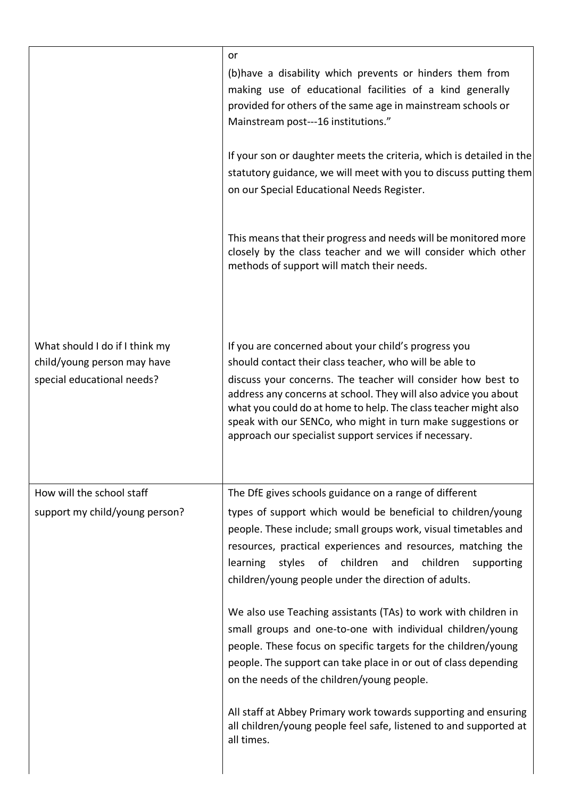|                                                                                             | or<br>(b) have a disability which prevents or hinders them from<br>making use of educational facilities of a kind generally<br>provided for others of the same age in mainstream schools or<br>Mainstream post---16 institutions."                                                                                                                                                                                                             |
|---------------------------------------------------------------------------------------------|------------------------------------------------------------------------------------------------------------------------------------------------------------------------------------------------------------------------------------------------------------------------------------------------------------------------------------------------------------------------------------------------------------------------------------------------|
|                                                                                             | If your son or daughter meets the criteria, which is detailed in the<br>statutory guidance, we will meet with you to discuss putting them<br>on our Special Educational Needs Register.                                                                                                                                                                                                                                                        |
|                                                                                             | This means that their progress and needs will be monitored more<br>closely by the class teacher and we will consider which other<br>methods of support will match their needs.                                                                                                                                                                                                                                                                 |
| What should I do if I think my<br>child/young person may have<br>special educational needs? | If you are concerned about your child's progress you<br>should contact their class teacher, who will be able to<br>discuss your concerns. The teacher will consider how best to<br>address any concerns at school. They will also advice you about<br>what you could do at home to help. The class teacher might also<br>speak with our SENCo, who might in turn make suggestions or<br>approach our specialist support services if necessary. |
| How will the school staff                                                                   | The DfE gives schools guidance on a range of different                                                                                                                                                                                                                                                                                                                                                                                         |
| support my child/young person?                                                              | types of support which would be beneficial to children/young<br>people. These include; small groups work, visual timetables and<br>resources, practical experiences and resources, matching the<br>styles of children<br>children<br>learning<br>and<br>supporting<br>children/young people under the direction of adults.                                                                                                                     |
|                                                                                             | We also use Teaching assistants (TAs) to work with children in<br>small groups and one-to-one with individual children/young<br>people. These focus on specific targets for the children/young<br>people. The support can take place in or out of class depending<br>on the needs of the children/young people.                                                                                                                                |
|                                                                                             | All staff at Abbey Primary work towards supporting and ensuring<br>all children/young people feel safe, listened to and supported at<br>all times.                                                                                                                                                                                                                                                                                             |
|                                                                                             |                                                                                                                                                                                                                                                                                                                                                                                                                                                |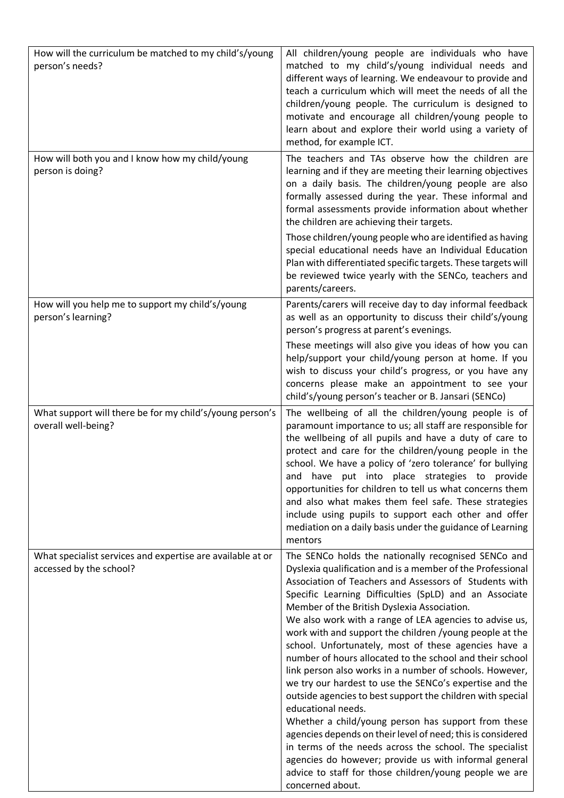| How will the curriculum be matched to my child's/young<br>person's needs?             | All children/young people are individuals who have<br>matched to my child's/young individual needs and<br>different ways of learning. We endeavour to provide and<br>teach a curriculum which will meet the needs of all the<br>children/young people. The curriculum is designed to<br>motivate and encourage all children/young people to<br>learn about and explore their world using a variety of<br>method, for example ICT.                                                                                                                                                                                                                                                                                                                                                                                                                                                                                                                                                                                                                                |
|---------------------------------------------------------------------------------------|------------------------------------------------------------------------------------------------------------------------------------------------------------------------------------------------------------------------------------------------------------------------------------------------------------------------------------------------------------------------------------------------------------------------------------------------------------------------------------------------------------------------------------------------------------------------------------------------------------------------------------------------------------------------------------------------------------------------------------------------------------------------------------------------------------------------------------------------------------------------------------------------------------------------------------------------------------------------------------------------------------------------------------------------------------------|
| How will both you and I know how my child/young<br>person is doing?                   | The teachers and TAs observe how the children are<br>learning and if they are meeting their learning objectives<br>on a daily basis. The children/young people are also<br>formally assessed during the year. These informal and<br>formal assessments provide information about whether<br>the children are achieving their targets.                                                                                                                                                                                                                                                                                                                                                                                                                                                                                                                                                                                                                                                                                                                            |
|                                                                                       | Those children/young people who are identified as having<br>special educational needs have an Individual Education<br>Plan with differentiated specific targets. These targets will<br>be reviewed twice yearly with the SENCo, teachers and<br>parents/careers.                                                                                                                                                                                                                                                                                                                                                                                                                                                                                                                                                                                                                                                                                                                                                                                                 |
| How will you help me to support my child's/young<br>person's learning?                | Parents/carers will receive day to day informal feedback<br>as well as an opportunity to discuss their child's/young<br>person's progress at parent's evenings.                                                                                                                                                                                                                                                                                                                                                                                                                                                                                                                                                                                                                                                                                                                                                                                                                                                                                                  |
|                                                                                       | These meetings will also give you ideas of how you can<br>help/support your child/young person at home. If you<br>wish to discuss your child's progress, or you have any<br>concerns please make an appointment to see your<br>child's/young person's teacher or B. Jansari (SENCo)                                                                                                                                                                                                                                                                                                                                                                                                                                                                                                                                                                                                                                                                                                                                                                              |
| What support will there be for my child's/young person's<br>overall well-being?       | The wellbeing of all the children/young people is of<br>paramount importance to us; all staff are responsible for<br>the wellbeing of all pupils and have a duty of care to<br>protect and care for the children/young people in the<br>school. We have a policy of 'zero tolerance' for bullying<br>and have put into place strategies to provide<br>opportunities for children to tell us what concerns them<br>and also what makes them feel safe. These strategies<br>include using pupils to support each other and offer<br>mediation on a daily basis under the guidance of Learning<br>mentors                                                                                                                                                                                                                                                                                                                                                                                                                                                           |
| What specialist services and expertise are available at or<br>accessed by the school? | The SENCo holds the nationally recognised SENCo and<br>Dyslexia qualification and is a member of the Professional<br>Association of Teachers and Assessors of Students with<br>Specific Learning Difficulties (SpLD) and an Associate<br>Member of the British Dyslexia Association.<br>We also work with a range of LEA agencies to advise us,<br>work with and support the children /young people at the<br>school. Unfortunately, most of these agencies have a<br>number of hours allocated to the school and their school<br>link person also works in a number of schools. However,<br>we try our hardest to use the SENCo's expertise and the<br>outside agencies to best support the children with special<br>educational needs.<br>Whether a child/young person has support from these<br>agencies depends on their level of need; this is considered<br>in terms of the needs across the school. The specialist<br>agencies do however; provide us with informal general<br>advice to staff for those children/young people we are<br>concerned about. |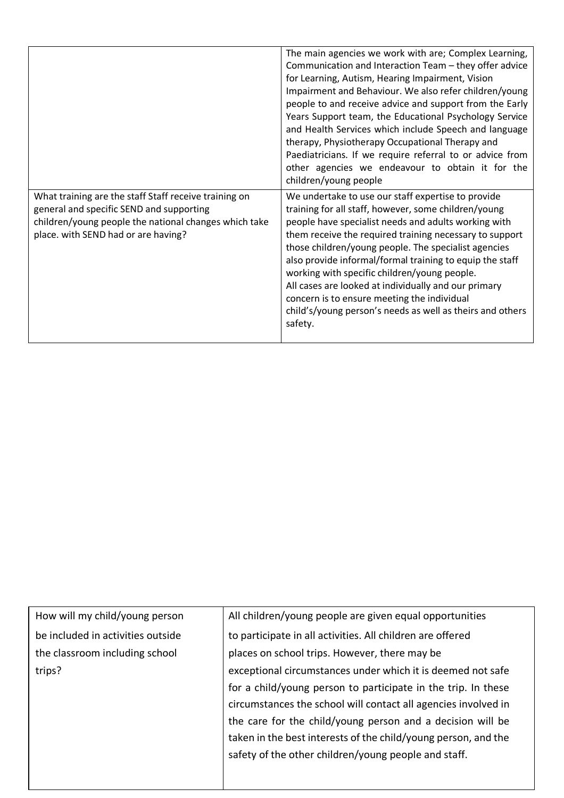|                                                                                                                                                                                                   | The main agencies we work with are; Complex Learning,<br>Communication and Interaction Team - they offer advice<br>for Learning, Autism, Hearing Impairment, Vision<br>Impairment and Behaviour. We also refer children/young<br>people to and receive advice and support from the Early<br>Years Support team, the Educational Psychology Service<br>and Health Services which include Speech and language<br>therapy, Physiotherapy Occupational Therapy and<br>Paediatricians. If we require referral to or advice from<br>other agencies we endeavour to obtain it for the<br>children/young people |
|---------------------------------------------------------------------------------------------------------------------------------------------------------------------------------------------------|---------------------------------------------------------------------------------------------------------------------------------------------------------------------------------------------------------------------------------------------------------------------------------------------------------------------------------------------------------------------------------------------------------------------------------------------------------------------------------------------------------------------------------------------------------------------------------------------------------|
| What training are the staff Staff receive training on<br>general and specific SEND and supporting<br>children/young people the national changes which take<br>place. with SEND had or are having? | We undertake to use our staff expertise to provide<br>training for all staff, however, some children/young<br>people have specialist needs and adults working with<br>them receive the required training necessary to support<br>those children/young people. The specialist agencies<br>also provide informal/formal training to equip the staff<br>working with specific children/young people.<br>All cases are looked at individually and our primary<br>concern is to ensure meeting the individual<br>child's/young person's needs as well as theirs and others<br>safety.                        |

| How will my child/young person    | All children/young people are given equal opportunities        |
|-----------------------------------|----------------------------------------------------------------|
| be included in activities outside | to participate in all activities. All children are offered     |
| the classroom including school    | places on school trips. However, there may be                  |
| trips?                            | exceptional circumstances under which it is deemed not safe    |
|                                   | for a child/young person to participate in the trip. In these  |
|                                   | circumstances the school will contact all agencies involved in |
|                                   | the care for the child/young person and a decision will be     |
|                                   | taken in the best interests of the child/young person, and the |
|                                   | safety of the other children/young people and staff.           |
|                                   |                                                                |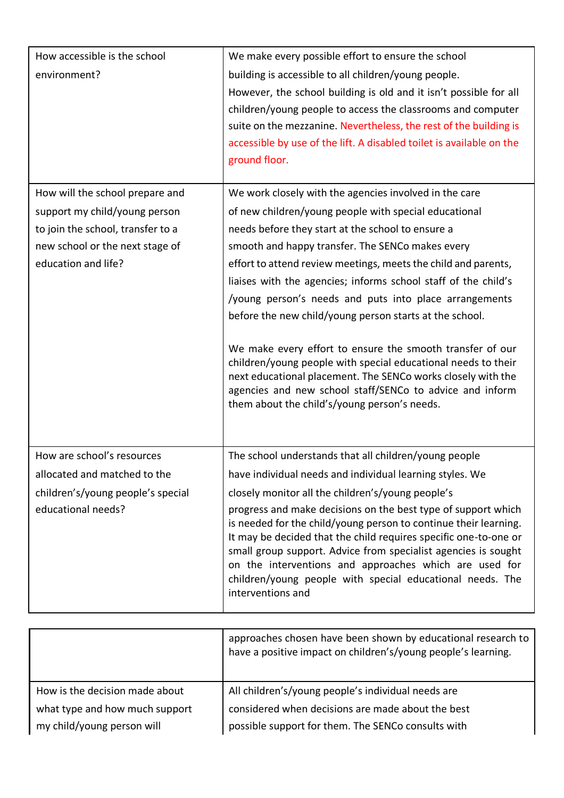| How accessible is the school<br>environment?                                                                                                                    | We make every possible effort to ensure the school<br>building is accessible to all children/young people.<br>However, the school building is old and it isn't possible for all<br>children/young people to access the classrooms and computer<br>suite on the mezzanine. Nevertheless, the rest of the building is<br>accessible by use of the lift. A disabled toilet is available on the<br>ground floor.                                                                                                                                                                                                                                                                                                                                                                                |
|-----------------------------------------------------------------------------------------------------------------------------------------------------------------|---------------------------------------------------------------------------------------------------------------------------------------------------------------------------------------------------------------------------------------------------------------------------------------------------------------------------------------------------------------------------------------------------------------------------------------------------------------------------------------------------------------------------------------------------------------------------------------------------------------------------------------------------------------------------------------------------------------------------------------------------------------------------------------------|
| How will the school prepare and<br>support my child/young person<br>to join the school, transfer to a<br>new school or the next stage of<br>education and life? | We work closely with the agencies involved in the care<br>of new children/young people with special educational<br>needs before they start at the school to ensure a<br>smooth and happy transfer. The SENCo makes every<br>effort to attend review meetings, meets the child and parents,<br>liaises with the agencies; informs school staff of the child's<br>/young person's needs and puts into place arrangements<br>before the new child/young person starts at the school.<br>We make every effort to ensure the smooth transfer of our<br>children/young people with special educational needs to their<br>next educational placement. The SENCo works closely with the<br>agencies and new school staff/SENCo to advice and inform<br>them about the child's/young person's needs. |
| How are school's resources<br>allocated and matched to the<br>children's/young people's special<br>educational needs?                                           | The school understands that all children/young people<br>have individual needs and individual learning styles. We<br>closely monitor all the children's/young people's<br>progress and make decisions on the best type of support which<br>is needed for the child/young person to continue their learning.<br>It may be decided that the child requires specific one-to-one or<br>small group support. Advice from specialist agencies is sought<br>on the interventions and approaches which are used for<br>children/young people with special educational needs. The<br>interventions and                                                                                                                                                                                               |

|                                | approaches chosen have been shown by educational research to<br>have a positive impact on children's/young people's learning. |
|--------------------------------|-------------------------------------------------------------------------------------------------------------------------------|
| How is the decision made about | All children's/young people's individual needs are                                                                            |
| what type and how much support | considered when decisions are made about the best                                                                             |
| my child/young person will     | possible support for them. The SENCo consults with                                                                            |